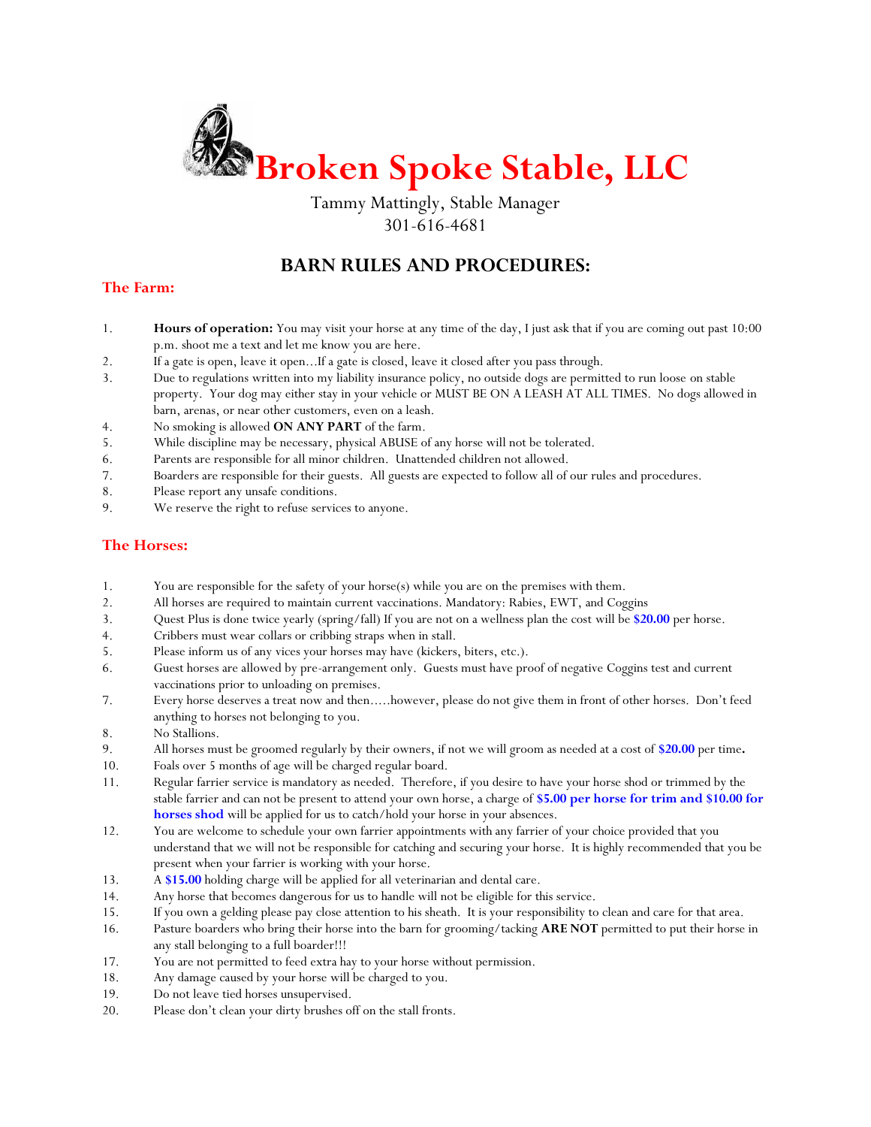

Tammy Mattingly, Stable Manager 301-616-4681

## **BARN RULES AND PROCEDURES:**

## **The Farm:**

- 1. **Hours of operation:** You may visit your horse at any time of the day, I just ask that if you are coming out past 10:00 p.m. shoot me a text and let me know you are here.
- 2. If a gate is open, leave it open...If a gate is closed, leave it closed after you pass through.
- 3. Due to regulations written into my liability insurance policy, no outside dogs are permitted to run loose on stable property. Your dog may either stay in your vehicle or MUST BE ON A LEASH AT ALL TIMES. No dogs allowed in barn, arenas, or near other customers, even on a leash.
- 4. No smoking is allowed **ON ANY PART** of the farm.
- 5. While discipline may be necessary, physical ABUSE of any horse will not be tolerated.
- 6. Parents are responsible for all minor children. Unattended children not allowed.
- 7. Boarders are responsible for their guests. All guests are expected to follow all of our rules and procedures.
- 8. Please report any unsafe conditions.
- 9. We reserve the right to refuse services to anyone.

#### **The Horses:**

- 1. You are responsible for the safety of your horse(s) while you are on the premises with them.
- 2. All horses are required to maintain current vaccinations. Mandatory: Rabies, EWT, and Coggins
- 3. Quest Plus is done twice yearly (spring/fall) If you are not on a wellness plan the cost will be **\$20.00** per horse.
- 4. Cribbers must wear collars or cribbing straps when in stall.
- 5. Please inform us of any vices your horses may have (kickers, biters, etc.).
- 6. Guest horses are allowed by pre-arrangement only. Guests must have proof of negative Coggins test and current vaccinations prior to unloading on premises.
- 7. Every horse deserves a treat now and then.....however, please do not give them in front of other horses. Don't feed anything to horses not belonging to you.
- 8. No Stallions.
- 9. All horses must be groomed regularly by their owners, if not we will groom as needed at a cost of **\$20.00** per time**.**
- 10. Foals over 5 months of age will be charged regular board.
- 11. Regular farrier service is mandatory as needed. Therefore, if you desire to have your horse shod or trimmed by the stable farrier and can not be present to attend your own horse, a charge of **\$5.00 per horse for trim and \$10.00 for horses shod** will be applied for us to catch/hold your horse in your absences.
- 12. You are welcome to schedule your own farrier appointments with any farrier of your choice provided that you understand that we will not be responsible for catching and securing your horse. It is highly recommended that you be present when your farrier is working with your horse.
- 13. A **\$15.00** holding charge will be applied for all veterinarian and dental care.
- 14. Any horse that becomes dangerous for us to handle will not be eligible for this service.
- 15. If you own a gelding please pay close attention to his sheath. It is your responsibility to clean and care for that area.
- 16. Pasture boarders who bring their horse into the barn for grooming/tacking **ARE NOT** permitted to put their horse in any stall belonging to a full boarder!!!
- 17. You are not permitted to feed extra hay to your horse without permission.
- 18. Any damage caused by your horse will be charged to you.
- 19. Do not leave tied horses unsupervised.
- 20. Please don't clean your dirty brushes off on the stall fronts.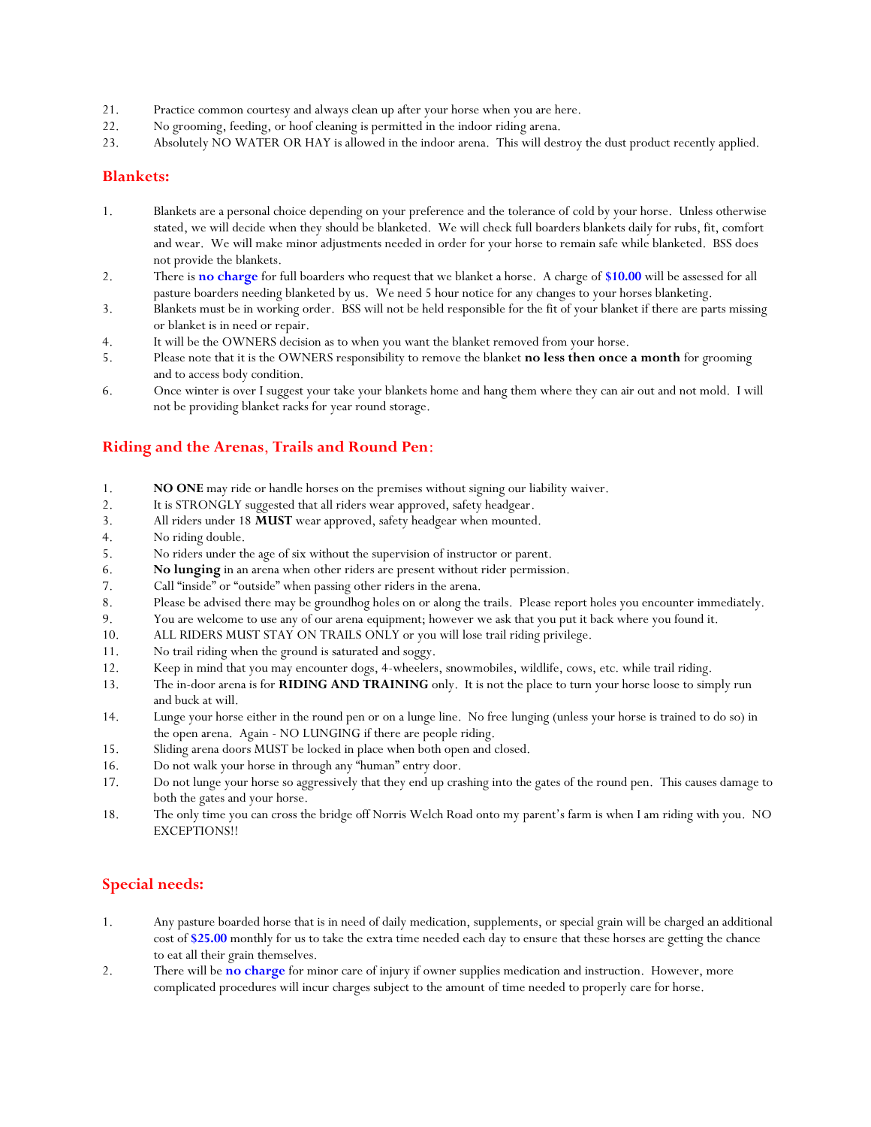- 21. Practice common courtesy and always clean up after your horse when you are here.
- 22. No grooming, feeding, or hoof cleaning is permitted in the indoor riding arena.
- 23. Absolutely NO WATER OR HAY is allowed in the indoor arena. This will destroy the dust product recently applied.

#### **Blankets:**

- 1. Blankets are a personal choice depending on your preference and the tolerance of cold by your horse. Unless otherwise stated, we will decide when they should be blanketed. We will check full boarders blankets daily for rubs, fit, comfort and wear. We will make minor adjustments needed in order for your horse to remain safe while blanketed. BSS does not provide the blankets.
- 2. There is **no charge** for full boarders who request that we blanket a horse. A charge of **\$10.00** will be assessed for all pasture boarders needing blanketed by us. We need 5 hour notice for any changes to your horses blanketing.
- 3. Blankets must be in working order. BSS will not be held responsible for the fit of your blanket if there are parts missing or blanket is in need or repair.
- 4. It will be the OWNERS decision as to when you want the blanket removed from your horse.
- 5. Please note that it is the OWNERS responsibility to remove the blanket **no less then once a month** for grooming and to access body condition.
- 6. Once winter is over I suggest your take your blankets home and hang them where they can air out and not mold. I will not be providing blanket racks for year round storage.

## **Riding and the Arenas**, **Trails and Round Pen**:

- 1. **NO ONE** may ride or handle horses on the premises without signing our liability waiver.
- 2. It is STRONGLY suggested that all riders wear approved, safety headgear.
- 3. All riders under 18 **MUST** wear approved, safety headgear when mounted.
- 4. No riding double.
- 5. No riders under the age of six without the supervision of instructor or parent.
- 6. **No lunging** in an arena when other riders are present without rider permission.
- 7. Call "inside" or "outside" when passing other riders in the arena.
- 8. Please be advised there may be groundhog holes on or along the trails. Please report holes you encounter immediately.
- 9. You are welcome to use any of our arena equipment; however we ask that you put it back where you found it.
- 10. ALL RIDERS MUST STAY ON TRAILS ONLY or you will lose trail riding privilege.
- 11. No trail riding when the ground is saturated and soggy.
- 12. Keep in mind that you may encounter dogs, 4-wheelers, snowmobiles, wildlife, cows, etc. while trail riding.
- 13. The in-door arena is for **RIDING AND TRAINING** only. It is not the place to turn your horse loose to simply run and buck at will.
- 14. Lunge your horse either in the round pen or on a lunge line. No free lunging (unless your horse is trained to do so) in the open arena. Again - NO LUNGING if there are people riding.
- 15. Sliding arena doors MUST be locked in place when both open and closed.
- 16. Do not walk your horse in through any "human" entry door.
- 17. Do not lunge your horse so aggressively that they end up crashing into the gates of the round pen. This causes damage to both the gates and your horse.
- 18. The only time you can cross the bridge off Norris Welch Road onto my parent's farm is when I am riding with you. NO EXCEPTIONS!!

## **Special needs:**

- 1. Any pasture boarded horse that is in need of daily medication, supplements, or special grain will be charged an additional cost of **\$25.00** monthly for us to take the extra time needed each day to ensure that these horses are getting the chance to eat all their grain themselves.
- 2. There will be **no charge** for minor care of injury if owner supplies medication and instruction. However, more complicated procedures will incur charges subject to the amount of time needed to properly care for horse.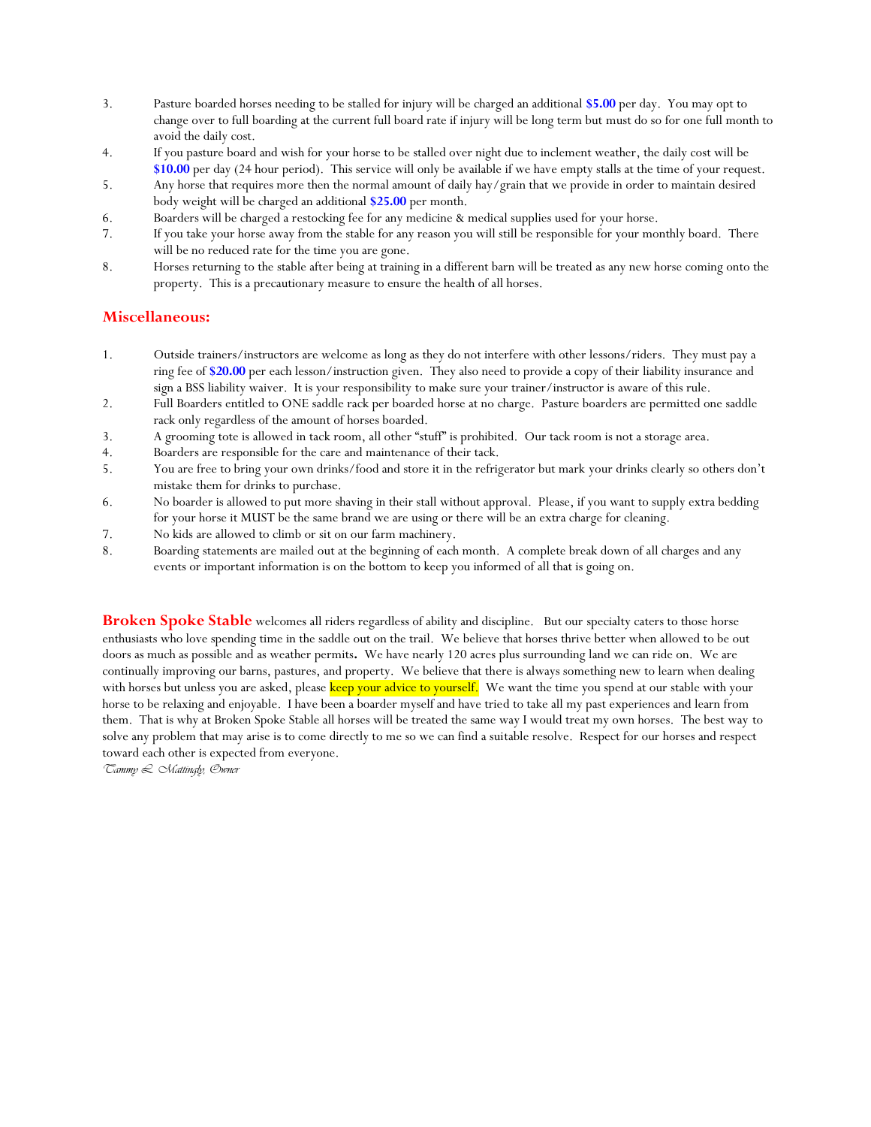- 3. Pasture boarded horses needing to be stalled for injury will be charged an additional **\$5.00** per day. You may opt to change over to full boarding at the current full board rate if injury will be long term but must do so for one full month to avoid the daily cost.
- 4. If you pasture board and wish for your horse to be stalled over night due to inclement weather, the daily cost will be **\$10.00** per day (24 hour period). This service will only be available if we have empty stalls at the time of your request.
- 5. Any horse that requires more then the normal amount of daily hay/grain that we provide in order to maintain desired body weight will be charged an additional **\$25.00** per month.
- 6. Boarders will be charged a restocking fee for any medicine & medical supplies used for your horse.
- 7. If you take your horse away from the stable for any reason you will still be responsible for your monthly board. There will be no reduced rate for the time you are gone.
- 8. Horses returning to the stable after being at training in a different barn will be treated as any new horse coming onto the property. This is a precautionary measure to ensure the health of all horses.

## **Miscellaneous:**

- 1. Outside trainers/instructors are welcome as long as they do not interfere with other lessons/riders. They must pay a ring fee of **\$20.00** per each lesson/instruction given. They also need to provide a copy of their liability insurance and sign a BSS liability waiver. It is your responsibility to make sure your trainer/instructor is aware of this rule.
- 2. Full Boarders entitled to ONE saddle rack per boarded horse at no charge. Pasture boarders are permitted one saddle rack only regardless of the amount of horses boarded.
- 3. A grooming tote is allowed in tack room, all other "stuff" is prohibited. Our tack room is not a storage area.
- 4. Boarders are responsible for the care and maintenance of their tack.
- 5. You are free to bring your own drinks/food and store it in the refrigerator but mark your drinks clearly so others don't mistake them for drinks to purchase.
- 6. No boarder is allowed to put more shaving in their stall without approval. Please, if you want to supply extra bedding for your horse it MUST be the same brand we are using or there will be an extra charge for cleaning.
- 7. No kids are allowed to climb or sit on our farm machinery.
- 8. Boarding statements are mailed out at the beginning of each month. A complete break down of all charges and any events or important information is on the bottom to keep you informed of all that is going on.

**Broken Spoke Stable** welcomes all riders regardless of ability and discipline. But our specialty caters to those horse enthusiasts who love spending time in the saddle out on the trail. We believe that horses thrive better when allowed to be out doors as much as possible and as weather permits**.** We have nearly 120 acres plus surrounding land we can ride on. We are continually improving our barns, pastures, and property. We believe that there is always something new to learn when dealing with horses but unless you are asked, please keep your advice to yourself. We want the time you spend at our stable with your horse to be relaxing and enjoyable. I have been a boarder myself and have tried to take all my past experiences and learn from them. That is why at Broken Spoke Stable all horses will be treated the same way I would treat my own horses. The best way to solve any problem that may arise is to come directly to me so we can find a suitable resolve. Respect for our horses and respect toward each other is expected from everyone.

*Tammy L. Mattingly, Owner*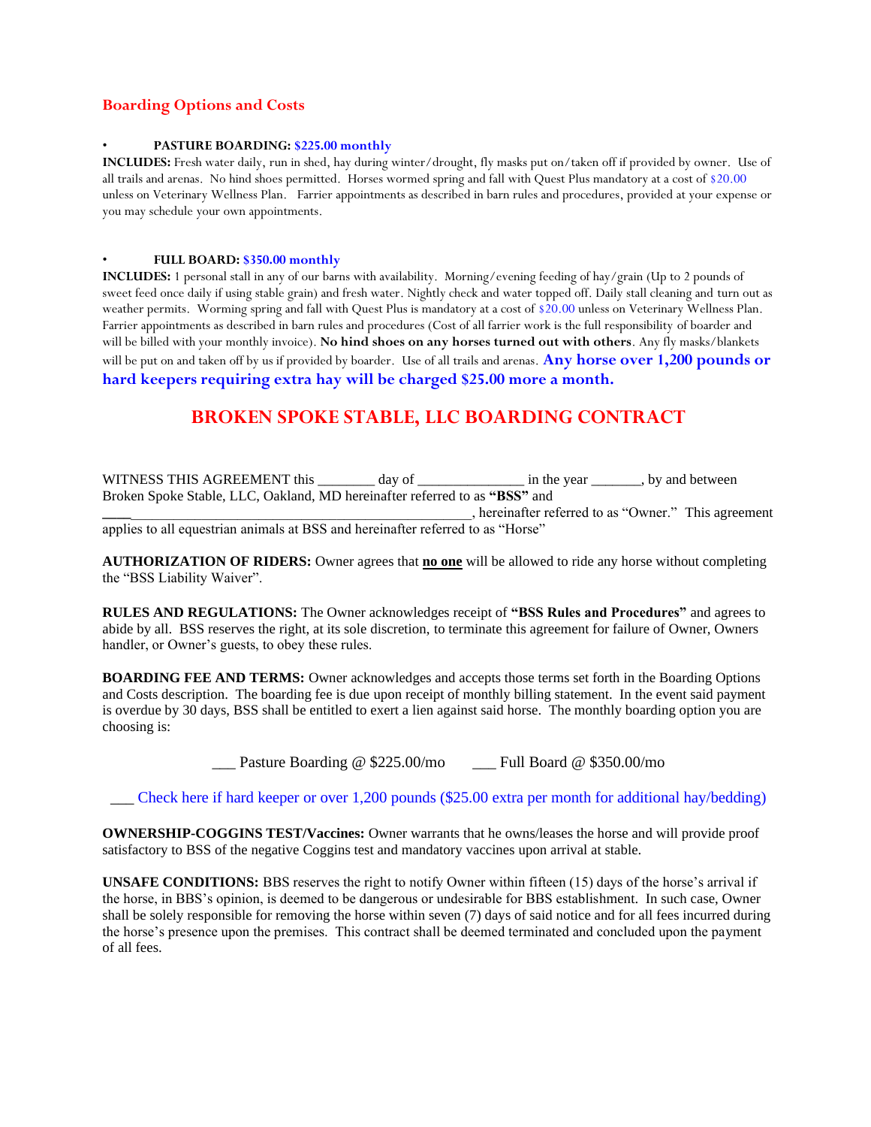## **Boarding Options and Costs**

#### • **PASTURE BOARDING: \$225.00 monthly**

**INCLUDES:** Fresh water daily, run in shed, hay during winter/drought, fly masks put on/taken off if provided by owner. Use of all trails and arenas. No hind shoes permitted. Horses wormed spring and fall with Quest Plus mandatory at a cost of \$20.00 unless on Veterinary Wellness Plan. Farrier appointments as described in barn rules and procedures, provided at your expense or you may schedule your own appointments.

#### • **FULL BOARD: \$350.00 monthly**

**INCLUDES:** 1 personal stall in any of our barns with availability. Morning/evening feeding of hay/grain (Up to 2 pounds of sweet feed once daily if using stable grain) and fresh water. Nightly check and water topped off. Daily stall cleaning and turn out as weather permits. Worming spring and fall with Quest Plus is mandatory at a cost of \$20.00 unless on Veterinary Wellness Plan. Farrier appointments as described in barn rules and procedures (Cost of all farrier work is the full responsibility of boarder and will be billed with your monthly invoice). **No hind shoes on any horses turned out with others**. Any fly masks/blankets will be put on and taken off by us if provided by boarder. Use of all trails and arenas. **Any horse over 1,200 pounds or hard keepers requiring extra hay will be charged \$25.00 more a month.**

## **BROKEN SPOKE STABLE, LLC BOARDING CONTRACT**

WITNESS THIS AGREEMENT this \_\_\_\_\_\_\_\_ day of \_\_\_\_\_\_\_\_\_\_\_\_\_\_\_ in the year \_\_\_\_\_\_, by and between Broken Spoke Stable, LLC, Oakland, MD hereinafter referred to as **"BSS"** and

**\_\_\_\_**\_\_\_\_\_\_\_\_\_\_\_\_\_\_\_\_\_\_\_\_\_\_\_\_\_\_\_\_\_\_\_\_\_\_\_\_\_\_\_\_\_\_\_\_\_\_\_\_, hereinafter referred to as "Owner."This agreement applies to all equestrian animals at BSS and hereinafter referred to as "Horse"

**AUTHORIZATION OF RIDERS:** Owner agrees that **no one** will be allowed to ride any horse without completing the "BSS Liability Waiver".

**RULES AND REGULATIONS:** The Owner acknowledges receipt of **"BSS Rules and Procedures"** and agrees to abide by all. BSS reserves the right, at its sole discretion, to terminate this agreement for failure of Owner, Owners handler, or Owner's guests, to obey these rules.

**BOARDING FEE AND TERMS:** Owner acknowledges and accepts those terms set forth in the Boarding Options and Costs description. The boarding fee is due upon receipt of monthly billing statement. In the event said payment is overdue by 30 days, BSS shall be entitled to exert a lien against said horse. The monthly boarding option you are choosing is:

\_\_\_ Pasture Boarding @ \$225.00/mo \_\_\_ Full Board @ \$350.00/mo

\_\_\_ Check here if hard keeper or over 1,200 pounds (\$25.00 extra per month for additional hay/bedding)

**OWNERSHIP-COGGINS TEST/Vaccines:** Owner warrants that he owns/leases the horse and will provide proof satisfactory to BSS of the negative Coggins test and mandatory vaccines upon arrival at stable.

**UNSAFE CONDITIONS:** BBS reserves the right to notify Owner within fifteen (15) days of the horse's arrival if the horse, in BBS's opinion, is deemed to be dangerous or undesirable for BBS establishment. In such case, Owner shall be solely responsible for removing the horse within seven (7) days of said notice and for all fees incurred during the horse's presence upon the premises. This contract shall be deemed terminated and concluded upon the payment of all fees.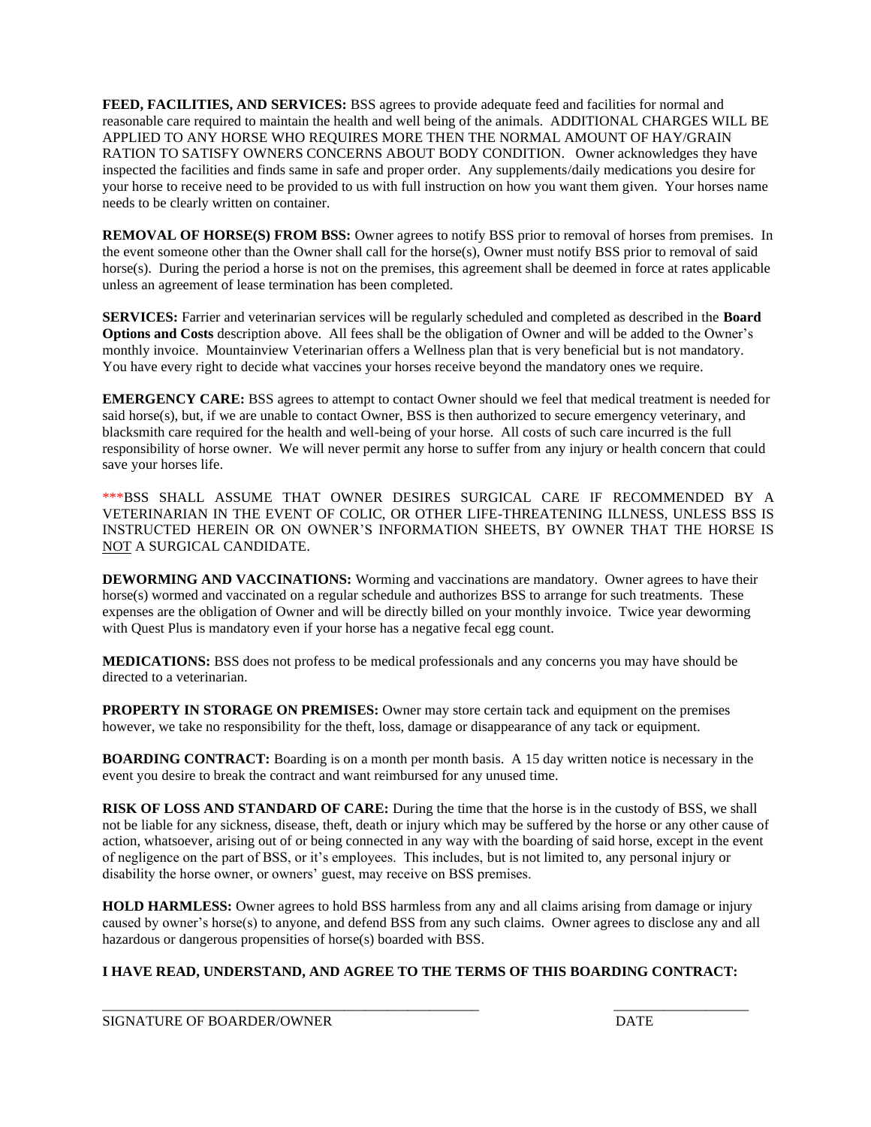**FEED, FACILITIES, AND SERVICES:** BSS agrees to provide adequate feed and facilities for normal and reasonable care required to maintain the health and well being of the animals. ADDITIONAL CHARGES WILL BE APPLIED TO ANY HORSE WHO REQUIRES MORE THEN THE NORMAL AMOUNT OF HAY/GRAIN RATION TO SATISFY OWNERS CONCERNS ABOUT BODY CONDITION. Owner acknowledges they have inspected the facilities and finds same in safe and proper order. Any supplements/daily medications you desire for your horse to receive need to be provided to us with full instruction on how you want them given. Your horses name needs to be clearly written on container.

**REMOVAL OF HORSE(S) FROM BSS:** Owner agrees to notify BSS prior to removal of horses from premises. In the event someone other than the Owner shall call for the horse(s), Owner must notify BSS prior to removal of said horse(s). During the period a horse is not on the premises, this agreement shall be deemed in force at rates applicable unless an agreement of lease termination has been completed.

**SERVICES:** Farrier and veterinarian services will be regularly scheduled and completed as described in the **Board Options and Costs** description above. All fees shall be the obligation of Owner and will be added to the Owner's monthly invoice. Mountainview Veterinarian offers a Wellness plan that is very beneficial but is not mandatory. You have every right to decide what vaccines your horses receive beyond the mandatory ones we require.

**EMERGENCY CARE:** BSS agrees to attempt to contact Owner should we feel that medical treatment is needed for said horse(s), but, if we are unable to contact Owner, BSS is then authorized to secure emergency veterinary, and blacksmith care required for the health and well-being of your horse. All costs of such care incurred is the full responsibility of horse owner. We will never permit any horse to suffer from any injury or health concern that could save your horses life.

\*\*\*BSS SHALL ASSUME THAT OWNER DESIRES SURGICAL CARE IF RECOMMENDED BY A VETERINARIAN IN THE EVENT OF COLIC, OR OTHER LIFE-THREATENING ILLNESS, UNLESS BSS IS INSTRUCTED HEREIN OR ON OWNER'S INFORMATION SHEETS, BY OWNER THAT THE HORSE IS NOT A SURGICAL CANDIDATE.

**DEWORMING AND VACCINATIONS:** Worming and vaccinations are mandatory. Owner agrees to have their horse(s) wormed and vaccinated on a regular schedule and authorizes BSS to arrange for such treatments. These expenses are the obligation of Owner and will be directly billed on your monthly invoice. Twice year deworming with Quest Plus is mandatory even if your horse has a negative fecal egg count.

**MEDICATIONS:** BSS does not profess to be medical professionals and any concerns you may have should be directed to a veterinarian.

**PROPERTY IN STORAGE ON PREMISES:** Owner may store certain tack and equipment on the premises however, we take no responsibility for the theft, loss, damage or disappearance of any tack or equipment.

**BOARDING CONTRACT:** Boarding is on a month per month basis. A 15 day written notice is necessary in the event you desire to break the contract and want reimbursed for any unused time.

**RISK OF LOSS AND STANDARD OF CARE:** During the time that the horse is in the custody of BSS, we shall not be liable for any sickness, disease, theft, death or injury which may be suffered by the horse or any other cause of action, whatsoever, arising out of or being connected in any way with the boarding of said horse, except in the event of negligence on the part of BSS, or it's employees. This includes, but is not limited to, any personal injury or disability the horse owner, or owners' guest, may receive on BSS premises.

**HOLD HARMLESS:** Owner agrees to hold BSS harmless from any and all claims arising from damage or injury caused by owner's horse(s) to anyone, and defend BSS from any such claims. Owner agrees to disclose any and all hazardous or dangerous propensities of horse(s) boarded with BSS.

## **I HAVE READ, UNDERSTAND, AND AGREE TO THE TERMS OF THIS BOARDING CONTRACT:**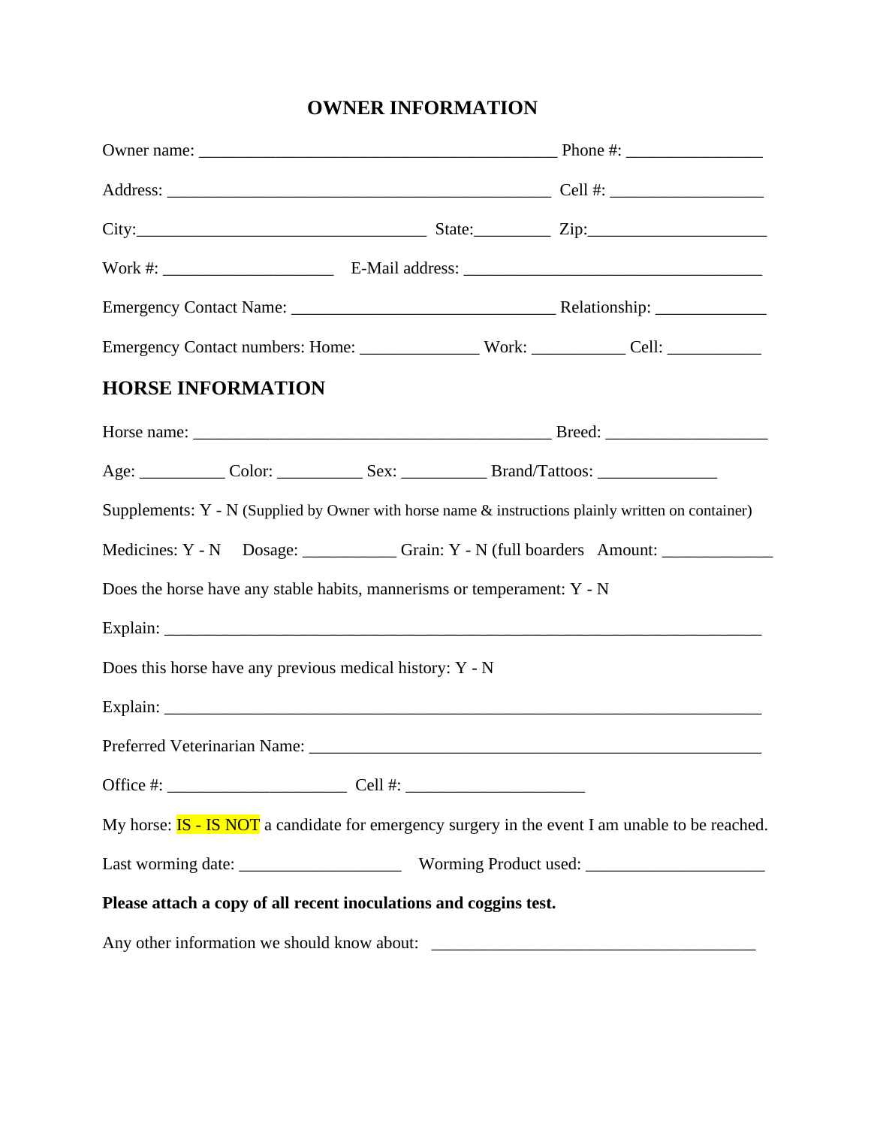## **OWNER INFORMATION**

|                                                                                             | <b>HORSE INFORMATION</b>                                                |  |                                                                                                                                                                                                                                |                                                                                                         |  |
|---------------------------------------------------------------------------------------------|-------------------------------------------------------------------------|--|--------------------------------------------------------------------------------------------------------------------------------------------------------------------------------------------------------------------------------|---------------------------------------------------------------------------------------------------------|--|
|                                                                                             |                                                                         |  |                                                                                                                                                                                                                                |                                                                                                         |  |
|                                                                                             |                                                                         |  | Age: Color: Color: Sex: Brand/Tattoos: Color: Color: Color: Color: Color: Color: Color: Color: Color: Color: Color: Color: Color: Color: Color: Color: Color: Color: Color: Color: Color: Color: Color: Color: Color: Color: C |                                                                                                         |  |
|                                                                                             |                                                                         |  |                                                                                                                                                                                                                                | Supplements: $Y - N$ (Supplied by Owner with horse name $\&$ instructions plainly written on container) |  |
| Medicines: Y - N Dosage: Carain: Y - N (full boarders Amount: Carain: Y - N (full boarders) |                                                                         |  |                                                                                                                                                                                                                                |                                                                                                         |  |
|                                                                                             | Does the horse have any stable habits, mannerisms or temperament: Y - N |  |                                                                                                                                                                                                                                |                                                                                                         |  |
|                                                                                             |                                                                         |  |                                                                                                                                                                                                                                |                                                                                                         |  |
|                                                                                             | Does this horse have any previous medical history: Y - N                |  |                                                                                                                                                                                                                                |                                                                                                         |  |
|                                                                                             |                                                                         |  |                                                                                                                                                                                                                                |                                                                                                         |  |
|                                                                                             |                                                                         |  |                                                                                                                                                                                                                                |                                                                                                         |  |
|                                                                                             |                                                                         |  |                                                                                                                                                                                                                                |                                                                                                         |  |
|                                                                                             |                                                                         |  |                                                                                                                                                                                                                                | My horse: $IS - IS NOT$ a candidate for emergency surgery in the event I am unable to be reached.       |  |
|                                                                                             |                                                                         |  |                                                                                                                                                                                                                                |                                                                                                         |  |
|                                                                                             | Please attach a copy of all recent inoculations and coggins test.       |  |                                                                                                                                                                                                                                |                                                                                                         |  |
|                                                                                             |                                                                         |  |                                                                                                                                                                                                                                |                                                                                                         |  |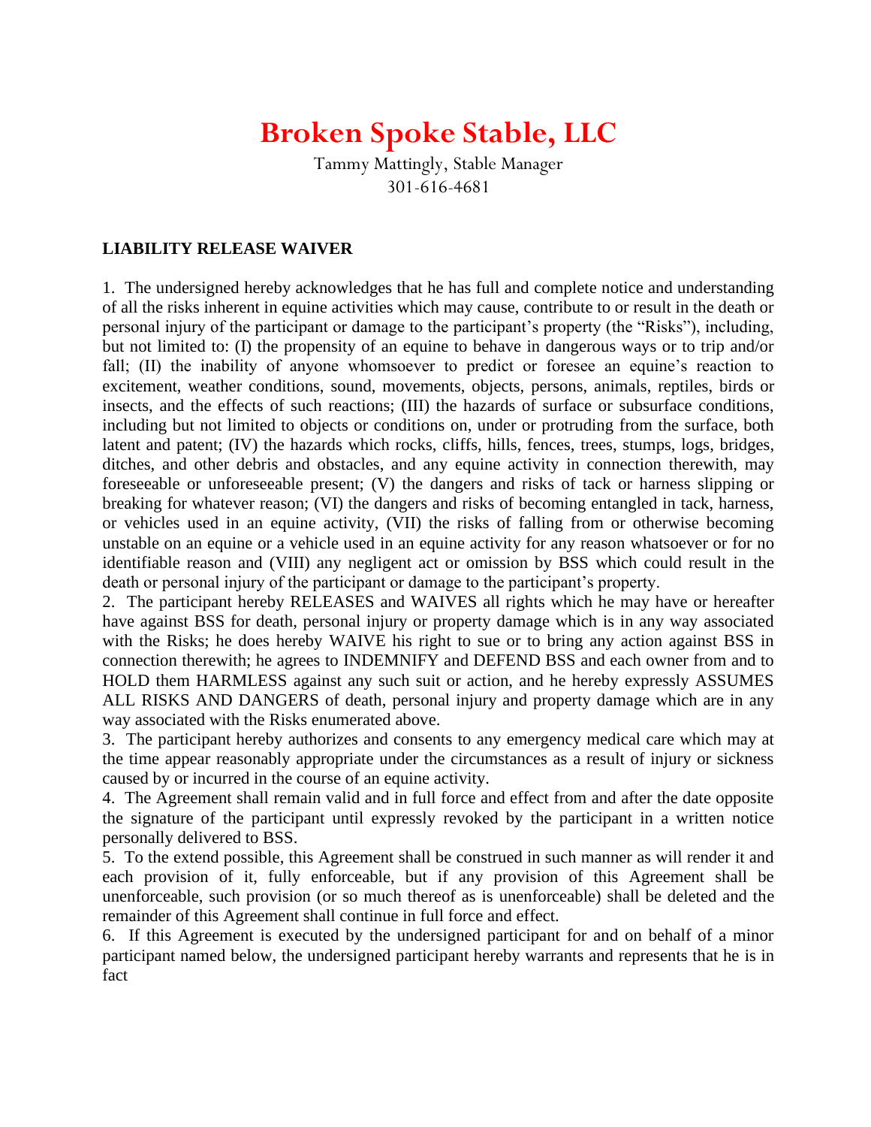# **Broken Spoke Stable, LLC**

Tammy Mattingly, Stable Manager 301-616-4681

## **LIABILITY RELEASE WAIVER**

1. The undersigned hereby acknowledges that he has full and complete notice and understanding of all the risks inherent in equine activities which may cause, contribute to or result in the death or personal injury of the participant or damage to the participant's property (the "Risks"), including, but not limited to: (I) the propensity of an equine to behave in dangerous ways or to trip and/or fall; (II) the inability of anyone whomsoever to predict or foresee an equine's reaction to excitement, weather conditions, sound, movements, objects, persons, animals, reptiles, birds or insects, and the effects of such reactions; (III) the hazards of surface or subsurface conditions, including but not limited to objects or conditions on, under or protruding from the surface, both latent and patent; (IV) the hazards which rocks, cliffs, hills, fences, trees, stumps, logs, bridges, ditches, and other debris and obstacles, and any equine activity in connection therewith, may foreseeable or unforeseeable present; (V) the dangers and risks of tack or harness slipping or breaking for whatever reason; (VI) the dangers and risks of becoming entangled in tack, harness, or vehicles used in an equine activity, (VII) the risks of falling from or otherwise becoming unstable on an equine or a vehicle used in an equine activity for any reason whatsoever or for no identifiable reason and (VIII) any negligent act or omission by BSS which could result in the death or personal injury of the participant or damage to the participant's property.

2. The participant hereby RELEASES and WAIVES all rights which he may have or hereafter have against BSS for death, personal injury or property damage which is in any way associated with the Risks; he does hereby WAIVE his right to sue or to bring any action against BSS in connection therewith; he agrees to INDEMNIFY and DEFEND BSS and each owner from and to HOLD them HARMLESS against any such suit or action, and he hereby expressly ASSUMES ALL RISKS AND DANGERS of death, personal injury and property damage which are in any way associated with the Risks enumerated above.

3. The participant hereby authorizes and consents to any emergency medical care which may at the time appear reasonably appropriate under the circumstances as a result of injury or sickness caused by or incurred in the course of an equine activity.

4. The Agreement shall remain valid and in full force and effect from and after the date opposite the signature of the participant until expressly revoked by the participant in a written notice personally delivered to BSS.

5. To the extend possible, this Agreement shall be construed in such manner as will render it and each provision of it, fully enforceable, but if any provision of this Agreement shall be unenforceable, such provision (or so much thereof as is unenforceable) shall be deleted and the remainder of this Agreement shall continue in full force and effect.

6. If this Agreement is executed by the undersigned participant for and on behalf of a minor participant named below, the undersigned participant hereby warrants and represents that he is in fact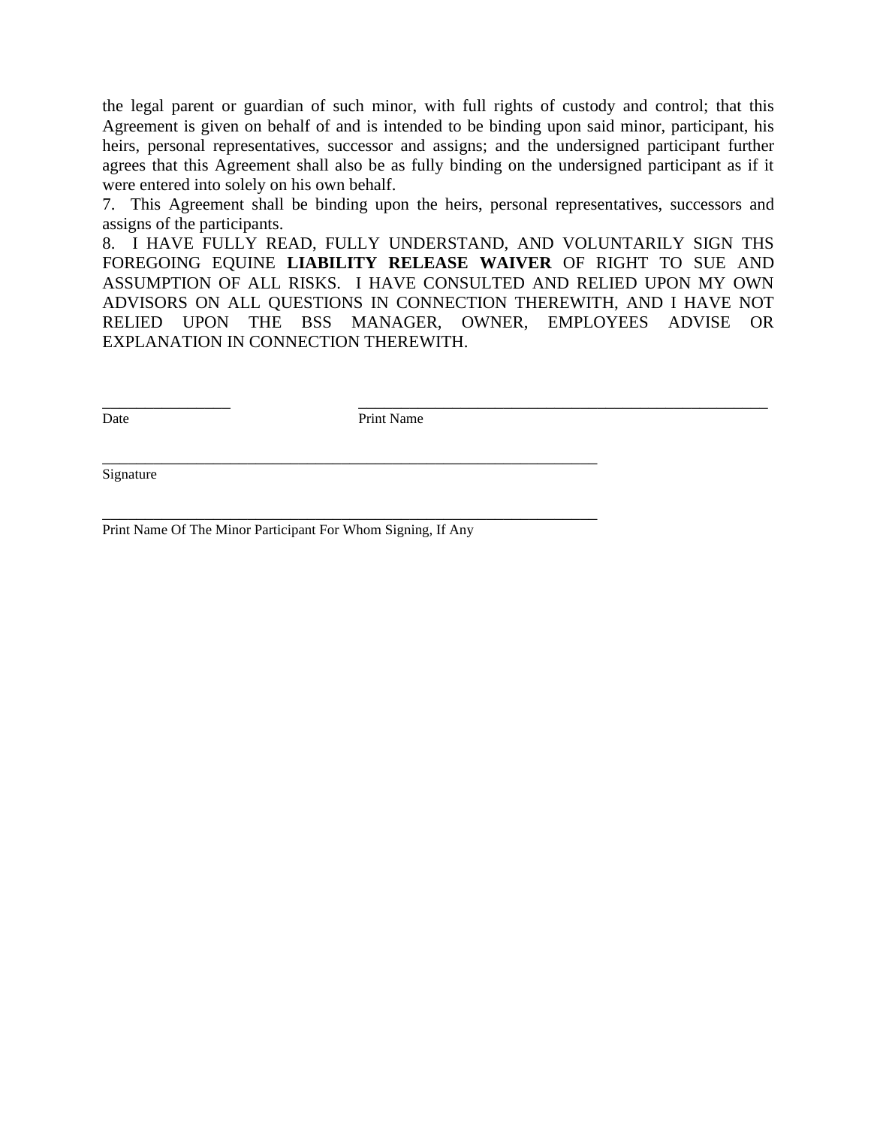the legal parent or guardian of such minor, with full rights of custody and control; that this Agreement is given on behalf of and is intended to be binding upon said minor, participant, his heirs, personal representatives, successor and assigns; and the undersigned participant further agrees that this Agreement shall also be as fully binding on the undersigned participant as if it were entered into solely on his own behalf.

7. This Agreement shall be binding upon the heirs, personal representatives, successors and assigns of the participants.

8. I HAVE FULLY READ, FULLY UNDERSTAND, AND VOLUNTARILY SIGN THS FOREGOING EQUINE **LIABILITY RELEASE WAIVER** OF RIGHT TO SUE AND ASSUMPTION OF ALL RISKS. I HAVE CONSULTED AND RELIED UPON MY OWN ADVISORS ON ALL QUESTIONS IN CONNECTION THEREWITH, AND I HAVE NOT RELIED UPON THE BSS MANAGER, OWNER, EMPLOYEES ADVISE OR EXPLANATION IN CONNECTION THEREWITH.

\_\_\_\_\_\_\_\_\_\_\_\_\_\_\_ \_\_\_\_\_\_\_\_\_\_\_\_\_\_\_\_\_\_\_\_\_\_\_\_\_\_\_\_\_\_\_\_\_\_\_\_\_\_\_\_\_\_\_\_\_\_\_\_

Date Print Name

\_\_\_\_\_\_\_\_\_\_\_\_\_\_\_\_\_\_\_\_\_\_\_\_\_\_\_\_\_\_\_\_\_\_\_\_\_\_\_\_\_\_\_\_\_\_\_\_\_\_\_\_\_\_\_\_\_\_

\_\_\_\_\_\_\_\_\_\_\_\_\_\_\_\_\_\_\_\_\_\_\_\_\_\_\_\_\_\_\_\_\_\_\_\_\_\_\_\_\_\_\_\_\_\_\_\_\_\_\_\_\_\_\_\_\_\_

Signature

Print Name Of The Minor Participant For Whom Signing, If Any